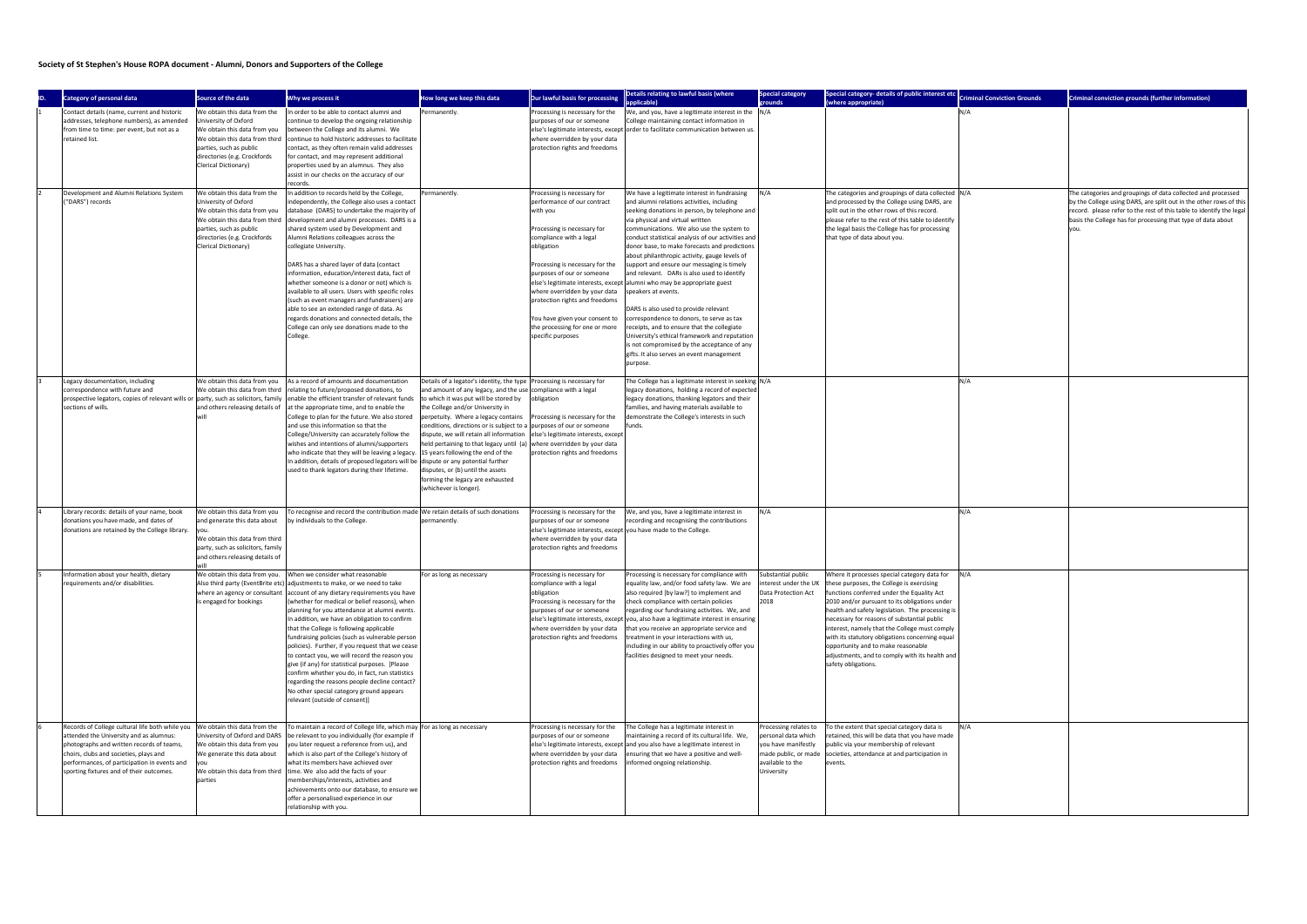## **Society of St Stephen's House ROPA document - Alumni, Donors and Supporters of the College**

| <b>Category of personal data</b>                                                                                                                                                                                                                                              | Source of the data                                                                                                                                                                                        | Why we process it                                                                                                                                                                                                                                                                                                                                                                                                                                                                                                                                                                                                                                                                                                                                                                       | How long we keep this data                                                                                                                                                                                                                                                                                                                                                                                                                    | <b>Our lawful basis for processing</b>                                                                                                                                                                                                                                                                                                                                      | Details relating to lawful basis (where                                                                                                                                                                                                                                                                                                                                                                                                                                                                                                                                                                                                                                                                                                                                                                                                                                           | Special category                                                                                     | Special category- details of public interest etc                                                                                                                                                                                                                                                                                                                                                                                                                                                                                         | <b>Criminal Conviction Grounds</b> | Criminal conviction grounds (further information)                                                                                                                                                                                                                          |
|-------------------------------------------------------------------------------------------------------------------------------------------------------------------------------------------------------------------------------------------------------------------------------|-----------------------------------------------------------------------------------------------------------------------------------------------------------------------------------------------------------|-----------------------------------------------------------------------------------------------------------------------------------------------------------------------------------------------------------------------------------------------------------------------------------------------------------------------------------------------------------------------------------------------------------------------------------------------------------------------------------------------------------------------------------------------------------------------------------------------------------------------------------------------------------------------------------------------------------------------------------------------------------------------------------------|-----------------------------------------------------------------------------------------------------------------------------------------------------------------------------------------------------------------------------------------------------------------------------------------------------------------------------------------------------------------------------------------------------------------------------------------------|-----------------------------------------------------------------------------------------------------------------------------------------------------------------------------------------------------------------------------------------------------------------------------------------------------------------------------------------------------------------------------|-----------------------------------------------------------------------------------------------------------------------------------------------------------------------------------------------------------------------------------------------------------------------------------------------------------------------------------------------------------------------------------------------------------------------------------------------------------------------------------------------------------------------------------------------------------------------------------------------------------------------------------------------------------------------------------------------------------------------------------------------------------------------------------------------------------------------------------------------------------------------------------|------------------------------------------------------------------------------------------------------|------------------------------------------------------------------------------------------------------------------------------------------------------------------------------------------------------------------------------------------------------------------------------------------------------------------------------------------------------------------------------------------------------------------------------------------------------------------------------------------------------------------------------------------|------------------------------------|----------------------------------------------------------------------------------------------------------------------------------------------------------------------------------------------------------------------------------------------------------------------------|
| Contact details (name, current and historic<br>addresses, telephone numbers), as amended                                                                                                                                                                                      | We obtain this data from the<br>University of Oxford                                                                                                                                                      | In order to be able to contact alumni and<br>continue to develop the ongoing relationship                                                                                                                                                                                                                                                                                                                                                                                                                                                                                                                                                                                                                                                                                               | Permanently.                                                                                                                                                                                                                                                                                                                                                                                                                                  | Processing is necessary for the<br>purposes of our or someone                                                                                                                                                                                                                                                                                                               | plicable)<br>We, and you, have a legitimate interest in the N/A<br>College maintaining contact information in                                                                                                                                                                                                                                                                                                                                                                                                                                                                                                                                                                                                                                                                                                                                                                     | rounds                                                                                               | (where appropriate)                                                                                                                                                                                                                                                                                                                                                                                                                                                                                                                      | N/A                                |                                                                                                                                                                                                                                                                            |
| from time to time: per event, but not as a<br>retained list.                                                                                                                                                                                                                  | We obtain this data from you<br>We obtain this data from third<br>parties, such as public<br>directories (e.g. Crockfords<br>Clerical Dictionary)                                                         | between the College and its alumni. We<br>continue to hold historic addresses to facilitate<br>contact, as they often remain valid addresses<br>for contact, and may represent additional<br>properties used by an alumnus. They also<br>assist in our checks on the accuracy of our<br>records.                                                                                                                                                                                                                                                                                                                                                                                                                                                                                        |                                                                                                                                                                                                                                                                                                                                                                                                                                               | where overridden by your data<br>protection rights and freedoms                                                                                                                                                                                                                                                                                                             | else's legitimate interests, except order to facilitate communication between us.                                                                                                                                                                                                                                                                                                                                                                                                                                                                                                                                                                                                                                                                                                                                                                                                 |                                                                                                      |                                                                                                                                                                                                                                                                                                                                                                                                                                                                                                                                          |                                    |                                                                                                                                                                                                                                                                            |
| Development and Alumni Relations System<br>("DARS") records                                                                                                                                                                                                                   | We obtain this data from the<br>University of Oxford<br>We obtain this data from you<br>We obtain this data from third<br>parties, such as public<br>directories (e.g. Crockfords<br>Clerical Dictionary) | In addition to records held by the College,<br>independently, the College also uses a contact<br>database (DARS) to undertake the majority of<br>development and alumni processes. DARS is a<br>shared system used by Development and<br>Alumni Relations colleagues across the<br>collegiate University.<br>DARS has a shared layer of data (contact<br>information, education/interest data, fact of<br>whether someone is a donor or not) which is<br>available to all users. Users with specific roles<br>(such as event managers and fundraisers) are<br>able to see an extended range of data. As<br>regards donations and connected details, the<br>College can only see donations made to the<br>College.                                                                       | Permanently                                                                                                                                                                                                                                                                                                                                                                                                                                   | Processing is necessary for<br>performance of our contract<br>with you<br>Processing is necessary for<br>compliance with a legal<br>obligation<br>Processing is necessary for the<br>purposes of our or someone<br>where overridden by your data<br>protection rights and freedoms<br>You have given your consent to<br>the processing for one or more<br>specific purposes | We have a legitimate interest in fundraising<br>and alumni relations activities, including<br>seeking donations in person, by telephone and<br>via physical and virtual written<br>communications. We also use the system to<br>conduct statistical analysis of our activities and<br>donor base, to make forecasts and predictions<br>about philanthropic activity, gauge levels of<br>support and ensure our messaging is timely<br>and relevant. DARs is also used to identify<br>else's legitimate interests, except alumni who may be appropriate guest<br>speakers at events.<br>DARS is also used to provide relevant<br>correspondence to donors, to serve as tax<br>receipts, and to ensure that the collegiate<br>University's ethical framework and reputation<br>is not compromised by the acceptance of any<br>gifts. It also serves an event management<br>purpose. | N/A                                                                                                  | The categories and groupings of data collected N/A<br>and processed by the College using DARS, are<br>split out in the other rows of this record.<br>please refer to the rest of this table to identify<br>the legal basis the College has for processing<br>that type of data about you.                                                                                                                                                                                                                                                |                                    | The categories and groupings of data collected and processed<br>by the College using DARS, are split out in the other rows of this<br>record. please refer to the rest of this table to identify the legal<br>basis the College has for processing that type of data about |
| Legacy documentation, including<br>correspondence with future and<br>prospective legators, copies of relevant wills or party, such as solicitors, family<br>sections of wills.                                                                                                | We obtain this data from you<br>We obtain this data from third<br>and others releasing details of                                                                                                         | As a record of amounts and documentation<br>relating to future/proposed donations, to<br>enable the efficient transfer of relevant funds<br>at the appropriate time, and to enable the<br>College to plan for the future. We also stored<br>and use this information so that the<br>College/University can accurately follow the<br>wishes and intentions of alumni/supporters<br>who indicate that they will be leaving a legacy. 15 years following the end of the<br>In addition, details of proposed legators will be dispute or any potential further<br>used to thank legators during their lifetime.                                                                                                                                                                             | Details of a legator's identity, the type<br>and amount of any legacy, and the use<br>to which it was put will be stored by<br>the College and/or University in<br>perpetuity. Where a legacy contains<br>conditions, directions or is subject to a<br>dispute, we will retain all information<br>held pertaining to that legacy until (a)<br>disputes, or (b) until the assets<br>forming the legacy are exhausted<br>(whichever is longer). | Processing is necessary for<br>compliance with a legal<br>obligation<br>Processing is necessary for the<br>purposes of our or someone<br>else's legitimate interests, except<br>where overridden by your data<br>protection rights and freedoms                                                                                                                             | The College has a legitimate interest in seeking N/A<br>legacy donations, holding a record of expected<br>legacy donations, thanking legators and their<br>families, and having materials available to<br>demonstrate the College's interests in such<br>funds.                                                                                                                                                                                                                                                                                                                                                                                                                                                                                                                                                                                                                   |                                                                                                      |                                                                                                                                                                                                                                                                                                                                                                                                                                                                                                                                          | N/A                                |                                                                                                                                                                                                                                                                            |
| Library records: details of your name, book<br>donations you have made, and dates of<br>donations are retained by the College library.                                                                                                                                        | We obtain this data from you<br>and generate this data about<br>We obtain this data from third<br>party, such as solicitors, family<br>and others releasing details of                                    | To recognise and record the contribution made We retain details of such donations<br>by individuals to the College.                                                                                                                                                                                                                                                                                                                                                                                                                                                                                                                                                                                                                                                                     | permanently.                                                                                                                                                                                                                                                                                                                                                                                                                                  | Processing is necessary for the<br>purposes of our or someone<br>else's legitimate interests, except you have made to the College.<br>where overridden by your data<br>protection rights and freedoms                                                                                                                                                                       | We, and you, have a legitimate interest in<br>recording and recognising the contributions                                                                                                                                                                                                                                                                                                                                                                                                                                                                                                                                                                                                                                                                                                                                                                                         | N/A                                                                                                  |                                                                                                                                                                                                                                                                                                                                                                                                                                                                                                                                          | N/A                                |                                                                                                                                                                                                                                                                            |
| Information about your health, dietary<br>requirements and/or disabilities.                                                                                                                                                                                                   | where an agency or consultant<br>is engaged for bookings                                                                                                                                                  | We obtain this data from you. When we consider what reasonable<br>Also third party (EventBrite etc) adjustments to make, or we need to take<br>account of any dietary requirements you have<br>(whether for medical or belief reasons), when<br>planning for you attendance at alumni events.<br>In addition, we have an obligation to confirm<br>that the College is following applicable<br>fundraising policies (such as vulnerable person<br>policies). Further, if you request that we cease<br>to contact you, we will record the reason you<br>give (if any) for statistical purposes. [Please<br>confirm whether you do, in fact, run statistics<br>regarding the reasons people decline contact?<br>No other special category ground appears<br>relevant (outside of consent)] | For as long as necessary                                                                                                                                                                                                                                                                                                                                                                                                                      | Processing is necessary for<br>compliance with a legal<br>obligation<br>Processing is necessary for the<br>purposes of our or someone<br>else's legitimate interests, except<br>where overridden by your data<br>protection rights and freedoms                                                                                                                             | Processing is necessary for compliance with<br>equality law, and/or food safety law. We are<br>also required [by law?] to implement and<br>check compliance with certain policies<br>regarding our fundraising activities. We, and<br>you, also have a legitimate interest in ensuring<br>hat you receive an appropriate service and<br>reatment in your interactions with us,<br>including in our ability to proactively offer you<br>facilities designed to meet your needs.                                                                                                                                                                                                                                                                                                                                                                                                    | Substantial public<br>Data Protection Act<br>2018                                                    | Where it processes special category data for N/A<br>interest under the UK these purposes, the College is exercising<br>functions conferred under the Equality Act<br>2010 and/or pursuant to its obligations under<br>health and safety legislation. The processing is<br>necessary for reasons of substantial public<br>interest, namely that the College must comply<br>with its statutory obligations concerning equal<br>opportunity and to make reasonable<br>adjustments, and to comply with its health and<br>safety obligations. |                                    |                                                                                                                                                                                                                                                                            |
| Records of College cultural life both while you<br>attended the University and as alumnus:<br>photographs and written records of teams,<br>choirs, clubs and societies, plays and<br>performances, of participation in events and<br>sporting fixtures and of their outcomes. | We obtain this data from the<br>University of Oxford and DARS<br>We obtain this data from you<br>We generate this data about<br>We obtain this data from third<br>parties                                 | To maintain a record of College life, which may For as long as necessary<br>be relevant to you individually (for example if<br>you later request a reference from us), and<br>which is also part of the College's history of<br>what its members have achieved over<br>time. We also add the facts of your<br>memberships/interests, activities and<br>achievements onto our database, to ensure we<br>offer a personalised experience in our<br>relationship with you.                                                                                                                                                                                                                                                                                                                 |                                                                                                                                                                                                                                                                                                                                                                                                                                               | Processing is necessary for the<br>purposes of our or someone<br>where overridden by your data<br>protection rights and freedoms                                                                                                                                                                                                                                            | The College has a legitimate interest in<br>maintaining a record of its cultural life. We,<br>else's legitimate interests, except and you also have a legitimate interest in<br>ensuring that we have a positive and well-<br>informed ongoing relationship.                                                                                                                                                                                                                                                                                                                                                                                                                                                                                                                                                                                                                      | rocessing relates to<br>personal data which<br>you have manifestly<br>available to the<br>University | To the extent that special category data is<br>retained, this will be data that you have made<br>public via your membership of relevant<br>made public, or made societies, attendance at and participation in<br>events.                                                                                                                                                                                                                                                                                                                 | N/A                                |                                                                                                                                                                                                                                                                            |